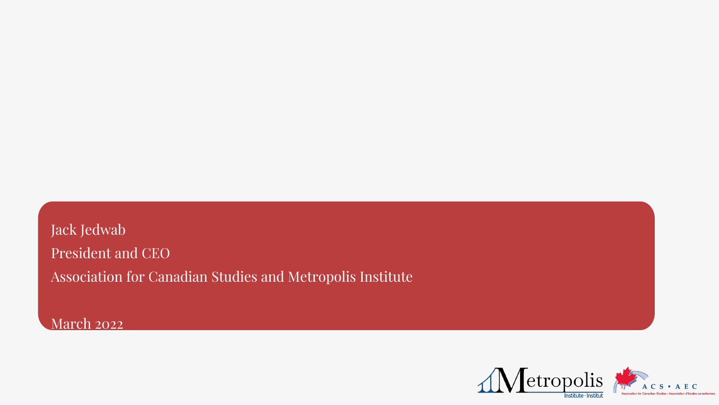# Jack Jedwab President and CEO Association for Canadian Studies and Metropolis Institute

March 2022





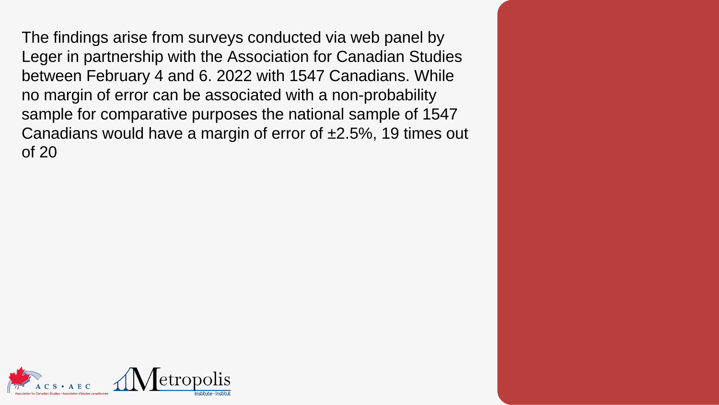The findings arise from surveys conducted via web panel by Leger in partnership with the Association for Canadian Studies between February 4 and 6. 2022 with 1547 Canadians. While no margin of error can be associated with a non-probability sample for comparative purposes the national sample of 1547 Canadians would have a margin of error of ±2.5%, 19 times out of 20

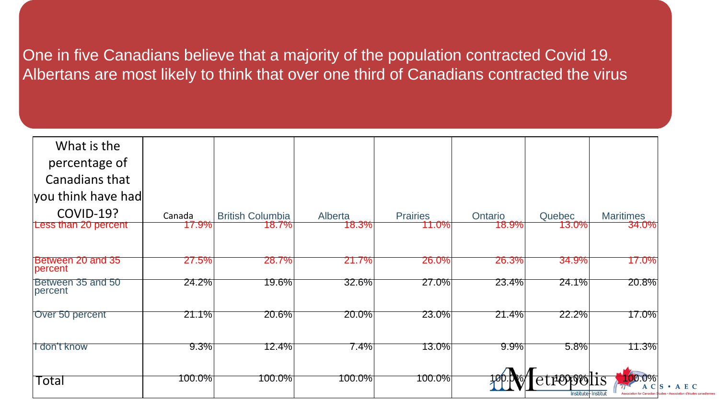## One in five Canadians believe that a majority of the population contracted Covid 19. Albertans are most likely to think that over one third of Canadians contracted the virus

| What is the                   |          |                         |          |                 |          |                                         |                                                   |
|-------------------------------|----------|-------------------------|----------|-----------------|----------|-----------------------------------------|---------------------------------------------------|
| percentage of                 |          |                         |          |                 |          |                                         |                                                   |
| <b>Canadians that</b>         |          |                         |          |                 |          |                                         |                                                   |
| you think have had            |          |                         |          |                 |          |                                         |                                                   |
| <b>COVID-19?</b>              | Canada   | <b>British Columbia</b> | Alberta  | <b>Prairies</b> | Ontario  | <b>Quebec</b>                           | <b>Maritimes</b>                                  |
| Less than 20 percent          | $7.9\%$  | 18.7%                   | 18.3%    | 11.0%1          | 18.9%1   | <b>13.0%</b>                            | 34.0%                                             |
|                               |          |                         |          |                 |          |                                         |                                                   |
| Between 20 and 35<br> percent | $27.5\%$ | <b>28.7%</b>            | 21.7%    | $26.0\%$        | 26.3%    | 34.9%                                   | 17.0%                                             |
| Between 35 and 50<br>percent  | $24.2\%$ | 19.6%                   | 32.6%    | $27.0\%$        | $23.4\%$ | $24.1\%$                                | 20.8%                                             |
| Over 50 percent               | $21.1\%$ | 20.6%                   | $20.0\%$ | $23.0\%$        | $21.4\%$ | $22.2\%$                                | 17.0%                                             |
| l don't know                  | 9.3%     | 12.4%                   | 7.4%     | 13.0%           | $9.9\%$  | 5.8%                                    | 11.3%                                             |
| Total                         | 100.0%   | <u>100.0%</u>           | 100.0%   | 100.0%          |          | <b>ELLIOLOGII</b><br>Institute Institut | $\mathbf{U}\%$<br><b>Association for Canadian</b> |



ciation d'études canadienne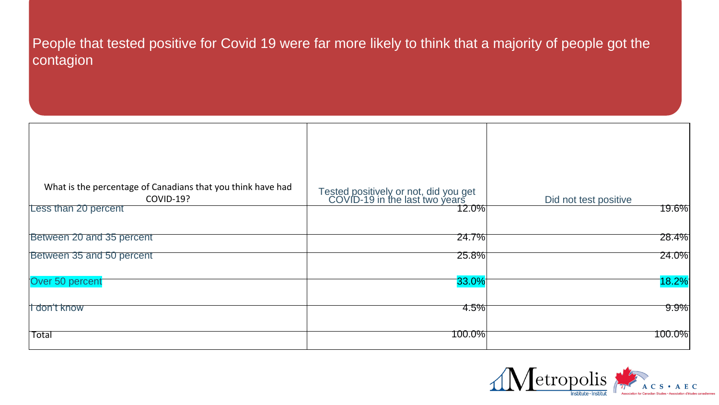### People that tested positive for Covid 19 were far more likely to think that a majority of people got the contagion

| What is the percentage of Canadians that you think have had<br><b>COVID-19?</b><br>Less than 20 percent | Tested positively or not, did you get<br>COVID-19 in the last two years<br>12.0% | Did not test positive<br>19.6% |
|---------------------------------------------------------------------------------------------------------|----------------------------------------------------------------------------------|--------------------------------|
| Between 20 and 35 percent                                                                               | $24.7\%$                                                                         | 28.4%                          |
| Between 35 and 50 percent                                                                               | $25.8\%$                                                                         | $24.0\%$                       |
| Over 50 percent                                                                                         | $\sqrt[33.0\%]$                                                                  | $ 18.2\% $                     |
| <b>I</b> don't know                                                                                     | 4.5%                                                                             | $9.9\%$                        |
| <b>Total</b>                                                                                            | 100.0%                                                                           | 100.0%                         |

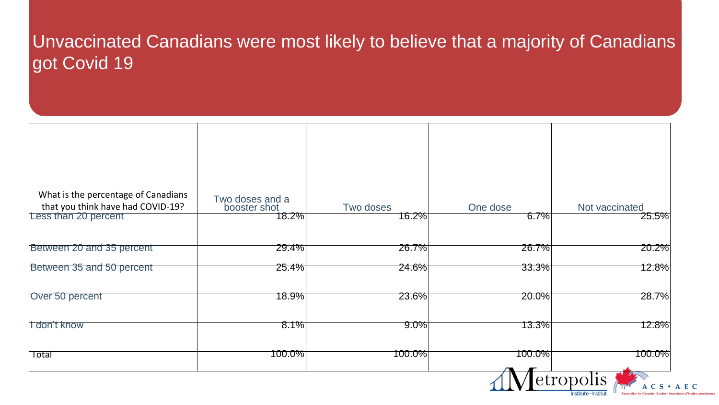## Unvaccinated Canadians were most likely to believe that a majority of Canadians got Covid 19

| What is the percentage of Canadians<br>that you think have had COVID-19?<br>Less than 20 percent | Two doses and a<br>booster shot<br>18.2% | Two doses<br>16.2% | One dose<br>6.7%                | Not vaccinated<br>25.5% |
|--------------------------------------------------------------------------------------------------|------------------------------------------|--------------------|---------------------------------|-------------------------|
|                                                                                                  |                                          |                    |                                 |                         |
| Between 20 and 35 percent                                                                        | $29.4\%$                                 | $26.7\%$           | $26.7\%$                        | 20.2%                   |
| Between 35 and 50 percent                                                                        | $25.4\%$                                 | $24.6\%$           | $33.3\%$                        | 12.8%                   |
| Over 50 percent                                                                                  | 18.9%                                    | $23.6\%$           | $20.0\%$                        | 28.7%                   |
| li don't know                                                                                    | 8.1%                                     | $9.0\%$            | 13.3%                           | 12.8%                   |
| <b>Total</b>                                                                                     | 100.0%                                   | 100.0%             | 100.0%<br>$\sqrt{2}$ $\sqrt{2}$ | <u>100.0%</u>           |

| One dose   | Not vaccinated                                                                                    |       |
|------------|---------------------------------------------------------------------------------------------------|-------|
| <b>67%</b> | $25.5\%$                                                                                          |       |
| 26.7%      | 20.2%                                                                                             |       |
| 33.3%      | 12.8%                                                                                             |       |
| 20.0%      | 28.7%                                                                                             |       |
| 13.3%      | 12.8%                                                                                             |       |
| 100.0%     | 100.0%                                                                                            |       |
|            | etropolis<br>S<br>Institute - Institut<br>Association for Canadian Studies • Association d'études | A E C |

d'études canadier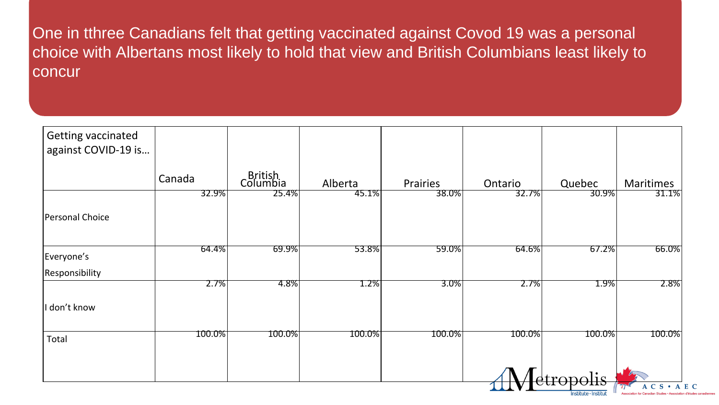One in tthree Canadians felt that getting vaccinated against Covod 19 was a personal choice with Albertans most likely to hold that view and British Columbians least likely to concur

| <b>Getting vaccinated</b> |         |                     |         |          |          |           |           |
|---------------------------|---------|---------------------|---------|----------|----------|-----------|-----------|
| against COVID-19 is       |         |                     |         |          |          |           |           |
|                           |         |                     |         |          |          |           |           |
|                           | Canada  | British<br>Columbia | Alberta | Prairies | Ontario  | Quebec    | Maritimes |
|                           | 32.9%   | 25.4%               | 45.1%   | 38.0%    | 32.7%    | 30.9%     | 31.1%     |
| Personal Choice           |         |                     |         |          |          |           |           |
|                           |         |                     |         |          |          |           |           |
| Everyone's                | 64.4%   | $69.9\%$            | 53.8%   | $59.0\%$ | $64.6\%$ | 67.2%     | 66.0%     |
| Responsibility            |         |                     |         |          |          |           |           |
|                           | $2.7\%$ | $ 4.8\% $           | $1.2\%$ | $3.0\%$  | $2.7\%$  | $1.9\%$   | 2.8%      |
| don't know                |         |                     |         |          |          |           |           |
| Total                     | 100.0%  | $ 100.0\% $         | 100.0%  | 100.0%   | 100.0%   | 100.0%    | 100.0%    |
|                           |         |                     |         |          |          |           |           |
|                           |         |                     |         |          |          | dtropolis |           |